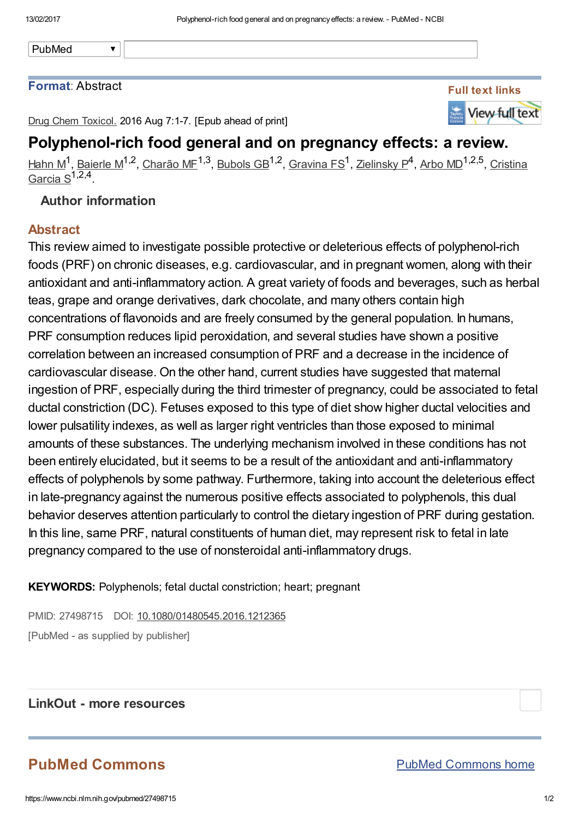PubMed

#### Format: Abstract



Drug Chem Toxicol. 2016 Aug 7:1-7. [Epub ahead of print]

## Polyphenol-rich food general and on pregnancy effects: a review.

<u>[Hahn](https://www.ncbi.nlm.nih.gov/pubmed/?term=Hahn%20M%5BAuthor%5D&cauthor=true&cauthor_uid=27498715) M</u><sup>1</sup>, <u>[Baierle](https://www.ncbi.nlm.nih.gov/pubmed/?term=Baierle%20M%5BAuthor%5D&cauthor=true&cauthor_uid=27498715) M</u><sup>1,2</sup>, [Charão](https://www.ncbi.nlm.nih.gov/pubmed/?term=Char%C3%A3o%20MF%5BAuthor%5D&cauthor=true&cauthor_uid=27498715) ME<sup>1,3</sup>, [Bubols](https://www.ncbi.nlm.nih.gov/pubmed/?term=Bubols%20GB%5BAuthor%5D&cauthor=true&cauthor_uid=27498715) GB<sup>1,2</sup>, [Gravina](https://www.ncbi.nlm.nih.gov/pubmed/?term=Gravina%20FS%5BAuthor%5D&cauthor=true&cauthor_uid=27498715) FS<sup>1</sup>, [Z](https://www.ncbi.nlm.nih.gov/pubmed/?term=Cristina%20Garcia%20S%5BAuthor%5D&cauthor=true&cauthor_uid=27498715)[ielinsky](https://www.ncbi.nlm.nih.gov/pubmed/?term=Zielinsky%20P%5BAuthor%5D&cauthor=true&cauthor_uid=27498715) P<sup>4</sup>, [Arbo](https://www.ncbi.nlm.nih.gov/pubmed/?term=Arbo%20MD%5BAuthor%5D&cauthor=true&cauthor_uid=27498715) MD<sup>1,2,5</sup>, Cristina <u>Garcia S</u><sup>1,2,4</sup>.

### Author information

 $\overline{\textbf{v}}$ 

### Abstract

This review aimed to investigate possible protective or deleterious effects of polyphenol-rich foods (PRF) on chronic diseases, e.g. cardiovascular, and in pregnant women, along with their antioxidant and anti-inflammatory action. A great variety of foods and beverages, such as herbal teas, grape and orange derivatives, dark chocolate, and many others contain high concentrations of flavonoids and are freely consumed by the general population. In humans, PRF consumption reduces lipid peroxidation, and several studies have shown a positive correlation between an increased consumption of PRF and a decrease in the incidence of cardiovascular disease. On the other hand, current studies have suggested that maternal ingestion of PRF, especially during the third trimester of pregnancy, could be associated to fetal ductal constriction (DC). Fetuses exposed to this type of diet show higher ductal velocities and lower pulsatility indexes, as well as larger right ventricles than those exposed to minimal amounts of these substances. The underlying mechanism involved in these conditions has not been entirely elucidated, but it seems to be a result of the antioxidant and anti-inflammatory effects of polyphenols by some pathway. Furthermore, taking into account the deleterious effect in late-pregnancy against the numerous positive effects associated to polyphenols, this dual behavior deserves attention particularly to control the dietary ingestion of PRF during gestation. In this line, same PRF, natural constituents of human diet, may represent risk to fetal in late pregnancy compared to the use of nonsteroidal anti-inflammatory drugs.

KEYWORDS: Polyphenols; fetal ductal constriction; heart; pregnant

PMID: 27498715 DOI: [10.1080/01480545.2016.1212365](https://dx.doi.org/10.1080/01480545.2016.1212365) [PubMed - as supplied by publisher]

### LinkOut - more resources

# PubMed Commons